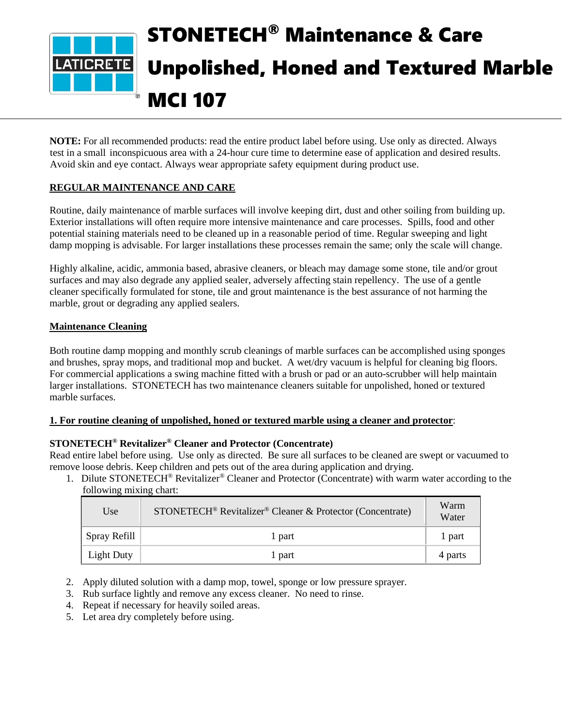

**NOTE:** For all recommended products: read the entire product label before using. Use only as directed. Always test in a small inconspicuous area with a 24-hour cure time to determine ease of application and desired results. Avoid skin and eye contact. Always wear appropriate safety equipment during product use.

## **REGULAR MAINTENANCE AND CARE**

Routine, daily maintenance of marble surfaces will involve keeping dirt, dust and other soiling from building up. Exterior installations will often require more intensive maintenance and care processes. Spills, food and other potential staining materials need to be cleaned up in a reasonable period of time. Regular sweeping and light damp mopping is advisable. For larger installations these processes remain the same; only the scale will change.

Highly alkaline, acidic, ammonia based, abrasive cleaners, or bleach may damage some stone, tile and/or grout surfaces and may also degrade any applied sealer, adversely affecting stain repellency. The use of a gentle cleaner specifically formulated for stone, tile and grout maintenance is the best assurance of not harming the marble, grout or degrading any applied sealers.

#### **Maintenance Cleaning**

Both routine damp mopping and monthly scrub cleanings of marble surfaces can be accomplished using sponges and brushes, spray mops, and traditional mop and bucket. A wet/dry vacuum is helpful for cleaning big floors. For commercial applications a swing machine fitted with a brush or pad or an auto-scrubber will help maintain larger installations. STONETECH has two maintenance cleaners suitable for unpolished, honed or textured marble surfaces.

#### **1. For routine cleaning of unpolished, honed or textured marble using a cleaner and protector**:

#### **STONETECH® Revitalizer® Cleaner and Protector (Concentrate)**

Read entire label before using. Use only as directed. Be sure all surfaces to be cleaned are swept or vacuumed to remove loose debris. Keep children and pets out of the area during application and drying.

1. Dilute STONETECH® Revitalizer® Cleaner and Protector (Concentrate) with warm water according to the following mixing chart:

| Use               | STONETECH <sup>®</sup> Revitalizer <sup>®</sup> Cleaner & Protector (Concentrate) | Warm<br>Water |
|-------------------|-----------------------------------------------------------------------------------|---------------|
| Spray Refill      | 1 part                                                                            | l part        |
| <b>Light Duty</b> | 1 part                                                                            | 4 parts       |

- 2. Apply diluted solution with a damp mop, towel, sponge or low pressure sprayer.
- 3. Rub surface lightly and remove any excess cleaner. No need to rinse.
- 4. Repeat if necessary for heavily soiled areas.
- 5. Let area dry completely before using.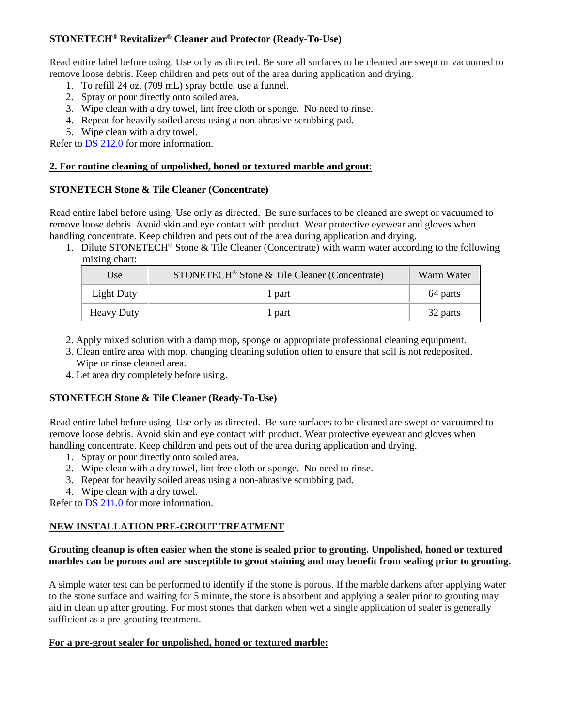# **STONETECH® Revitalizer® Cleaner and Protector (Ready-To-Use)**

Read entire label before using. Use only as directed. Be sure all surfaces to be cleaned are swept or vacuumed to remove loose debris. Keep children and pets out of the area during application and drying.

- 1. To refill 24 oz. (709 mL) spray bottle, use a funnel.
- 2. Spray or pour directly onto soiled area.
- 3. Wipe clean with a dry towel, lint free cloth or sponge. No need to rinse.
- 4. Repeat for heavily soiled areas using a non-abrasive scrubbing pad.
- 5. Wipe clean with a dry towel.

Refer to [DS 212.0](https://cdn.laticrete.com/~/media/product-documents/product-data-sheets/ds-212.ashx) for more information.

#### **2. For routine cleaning of unpolished, honed or textured marble and grout**:

#### **STONETECH Stone & Tile Cleaner (Concentrate)**

Read entire label before using. Use only as directed. Be sure surfaces to be cleaned are swept or vacuumed to remove loose debris. Avoid skin and eye contact with product. Wear protective eyewear and gloves when handling concentrate. Keep children and pets out of the area during application and drying.

1. Dilute STONETECH® Stone & Tile Cleaner (Concentrate) with warm water according to the following mixing chart:

| Use               | STONETECH <sup>®</sup> Stone & Tile Cleaner (Concentrate) | Warm Water |
|-------------------|-----------------------------------------------------------|------------|
| Light Duty        | l part                                                    | 64 parts   |
| <b>Heavy Duty</b> | l part                                                    | 32 parts   |

- 2. Apply mixed solution with a damp mop, sponge or appropriate professional cleaning equipment.
- 3. Clean entire area with mop, changing cleaning solution often to ensure that soil is not redeposited. Wipe or rinse cleaned area.
- 4. Let area dry completely before using.

## **STONETECH Stone & Tile Cleaner (Ready-To-Use)**

Read entire label before using. Use only as directed. Be sure surfaces to be cleaned are swept or vacuumed to remove loose debris. Avoid skin and eye contact with product. Wear protective eyewear and gloves when handling concentrate. Keep children and pets out of the area during application and drying.

- 1. Spray or pour directly onto soiled area.
- 2. Wipe clean with a dry towel, lint free cloth or sponge. No need to rinse.
- 3. Repeat for heavily soiled areas using a non-abrasive scrubbing pad.
- 4. Wipe clean with a dry towel.

Refer to **DS** 211.0 for more information.

## **NEW INSTALLATION PRE-GROUT TREATMENT**

### **Grouting cleanup is often easier when the stone is sealed prior to grouting. Unpolished, honed or textured marbles can be porous and are susceptible to grout staining and may benefit from sealing prior to grouting.**

A simple water test can be performed to identify if the stone is porous. If the marble darkens after applying water to the stone surface and waiting for 5 minute, the stone is absorbent and applying a sealer prior to grouting may aid in clean up after grouting. For most stones that darken when wet a single application of sealer is generally sufficient as a pre-grouting treatment.

#### **For a pre-grout sealer for unpolished, honed or textured marble:**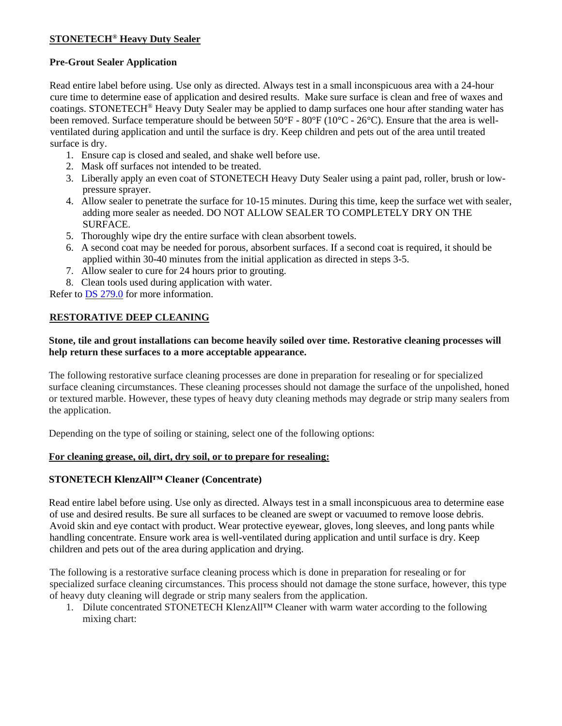# **STONETECH® Heavy Duty Sealer**

### **Pre-Grout Sealer Application**

Read entire label before using. Use only as directed. Always test in a small inconspicuous area with a 24-hour cure time to determine ease of application and desired results. Make sure surface is clean and free of waxes and coatings. STONETECH® Heavy Duty Sealer may be applied to damp surfaces one hour after standing water has been removed. Surface temperature should be between 50°F - 80°F (10°C - 26°C). Ensure that the area is wellventilated during application and until the surface is dry. Keep children and pets out of the area until treated surface is dry.

- 1. Ensure cap is closed and sealed, and shake well before use.
- 2. Mask off surfaces not intended to be treated.
- 3. Liberally apply an even coat of STONETECH Heavy Duty Sealer using a paint pad, roller, brush or lowpressure sprayer.
- 4. Allow sealer to penetrate the surface for 10-15 minutes. During this time, keep the surface wet with sealer, adding more sealer as needed. DO NOT ALLOW SEALER TO COMPLETELY DRY ON THE SURFACE.
- 5. Thoroughly wipe dry the entire surface with clean absorbent towels.
- 6. A second coat may be needed for porous, absorbent surfaces. If a second coat is required, it should be applied within 30-40 minutes from the initial application as directed in steps 3-5.
- 7. Allow sealer to cure for 24 hours prior to grouting.
- 8. Clean tools used during application with water.

Refer to [DS 279.0](https://cdn.laticrete.com/~/media/product-documents/product-data-sheets/ds-279.ashx) for more information.

## **RESTORATIVE DEEP CLEANING**

### **Stone, tile and grout installations can become heavily soiled over time. Restorative cleaning processes will help return these surfaces to a more acceptable appearance.**

The following restorative surface cleaning processes are done in preparation for resealing or for specialized surface cleaning circumstances. These cleaning processes should not damage the surface of the unpolished, honed or textured marble. However, these types of heavy duty cleaning methods may degrade or strip many sealers from the application.

Depending on the type of soiling or staining, select one of the following options:

#### **For cleaning grease, oil, dirt, dry soil, or to prepare for resealing:**

## **STONETECH KlenzAll™ Cleaner (Concentrate)**

Read entire label before using. Use only as directed. Always test in a small inconspicuous area to determine ease of use and desired results. Be sure all surfaces to be cleaned are swept or vacuumed to remove loose debris. Avoid skin and eye contact with product. Wear protective eyewear, gloves, long sleeves, and long pants while handling concentrate. Ensure work area is well-ventilated during application and until surface is dry. Keep children and pets out of the area during application and drying.

The following is a restorative surface cleaning process which is done in preparation for resealing or for specialized surface cleaning circumstances. This process should not damage the stone surface, however, this type of heavy duty cleaning will degrade or strip many sealers from the application.

1. Dilute concentrated STONETECH KlenzAll™ Cleaner with warm water according to the following mixing chart: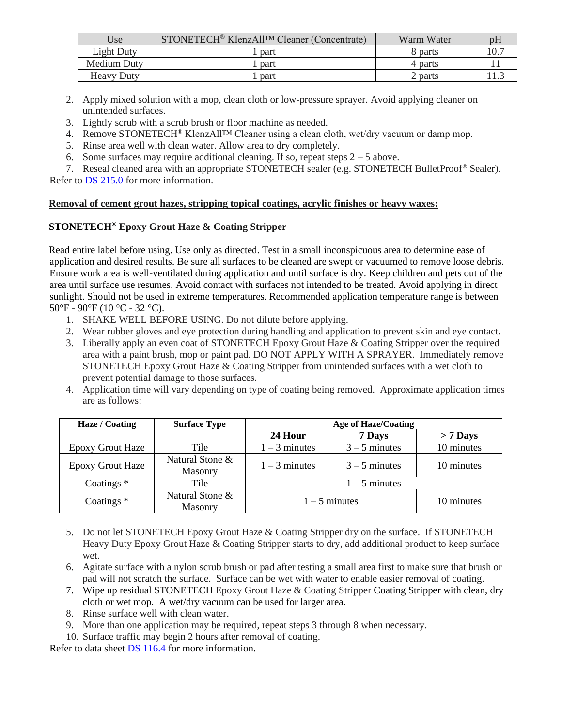| Use               | STONETECH <sup>®</sup> KlenzAll <sup>TM</sup> Cleaner (Concentrate) | Warm Water | DЬ |
|-------------------|---------------------------------------------------------------------|------------|----|
| Light Duty        | part                                                                | 8 parts    |    |
| Medium Duty       | part                                                                | 4 parts    |    |
| <b>Heavy Duty</b> | part                                                                | 2 parts    |    |

- 2. Apply mixed solution with a mop, clean cloth or low-pressure sprayer. Avoid applying cleaner on unintended surfaces.
- 3. Lightly scrub with a scrub brush or floor machine as needed.
- 4. Remove STONETECH® KlenzAll™ Cleaner using a clean cloth, wet/dry vacuum or damp mop.
- 5. Rinse area well with clean water. Allow area to dry completely.
- 6. Some surfaces may require additional cleaning. If so, repeat steps  $2 5$  above.
- 7. Reseal cleaned area with an appropriate STONETECH sealer (e.g. STONETECH BulletProof® Sealer).

Refer to [DS 215.0](https://cdn.laticrete.com/~/media/product-documents/product-data-sheets/ds-215.ashx) for more information.

#### **Removal of cement grout hazes, stripping topical coatings, acrylic finishes or heavy waxes:**

## **STONETECH® Epoxy Grout Haze & Coating Stripper**

Read entire label before using. Use only as directed. Test in a small inconspicuous area to determine ease of application and desired results. Be sure all surfaces to be cleaned are swept or vacuumed to remove loose debris. Ensure work area is well-ventilated during application and until surface is dry. Keep children and pets out of the area until surface use resumes. Avoid contact with surfaces not intended to be treated. Avoid applying in direct sunlight. Should not be used in extreme temperatures. Recommended application temperature range is between 50°F - 90°F (10 °C - 32 °C).

- 1. SHAKE WELL BEFORE USING. Do not dilute before applying.
- 2. Wear rubber gloves and eye protection during handling and application to prevent skin and eye contact.
- 3. Liberally apply an even coat of STONETECH Epoxy Grout Haze & Coating Stripper over the required area with a paint brush, mop or paint pad. DO NOT APPLY WITH A SPRAYER. Immediately remove STONETECH Epoxy Grout Haze & Coating Stripper from unintended surfaces with a wet cloth to prevent potential damage to those surfaces.
- 4. Application time will vary depending on type of coating being removed. Approximate application times are as follows:

| Haze / Coating          | <b>Surface Type</b>               | <b>Age of Haze/Coating</b> |                 |            |
|-------------------------|-----------------------------------|----------------------------|-----------------|------------|
|                         |                                   | 24 Hour                    | 7 Days          | $> 7$ Days |
| <b>Epoxy Grout Haze</b> | Tile                              | $1 - 3$ minutes            | $3 - 5$ minutes | 10 minutes |
| <b>Epoxy Grout Haze</b> | Natural Stone &<br>Masonry        | $1 - 3$ minutes            | $3 - 5$ minutes | 10 minutes |
| Coatings $*$            | Tile                              | $1 - 5$ minutes            |                 |            |
| Coatings $*$            | Natural Stone &<br><b>Masonry</b> | $1 - 5$ minutes            |                 | 10 minutes |

- 5. Do not let STONETECH Epoxy Grout Haze & Coating Stripper dry on the surface. If STONETECH Heavy Duty Epoxy Grout Haze & Coating Stripper starts to dry, add additional product to keep surface wet.
- 6. Agitate surface with a nylon scrub brush or pad after testing a small area first to make sure that brush or pad will not scratch the surface. Surface can be wet with water to enable easier removal of coating.
- 7. Wipe up residual STONETECH Epoxy Grout Haze & Coating Stripper Coating Stripper with clean, dry cloth or wet mop. A wet/dry vacuum can be used for larger area.
- 8. Rinse surface well with clean water.
- 9. More than one application may be required, repeat steps 3 through 8 when necessary.
- 10. Surface traffic may begin 2 hours after removal of coating.

Refer to data sheet [DS 116.4](https://cdn.laticrete.com/~/media/product-documents/product-data-sheets/ds1664_stonetech-epoxy-grout-haze-coating-stripper.ashx) for more information.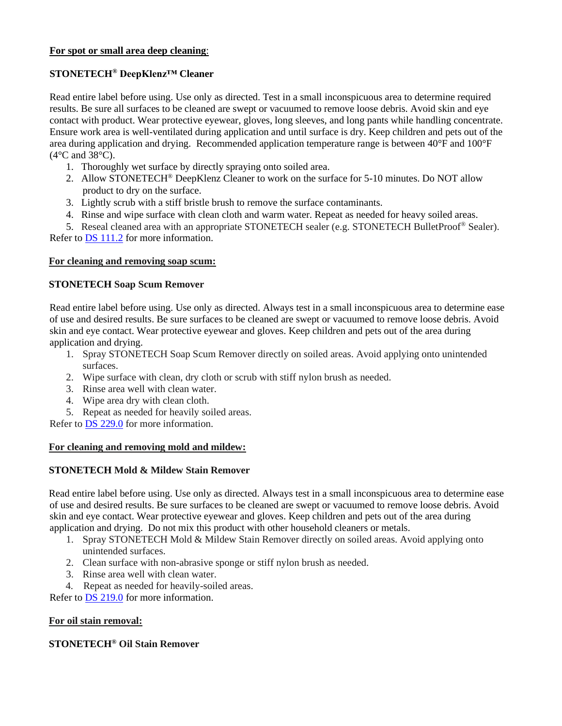#### **For spot or small area deep cleaning**:

### **STONETECH® DeepKlenz™ Cleaner**

Read entire label before using. Use only as directed. Test in a small inconspicuous area to determine required results. Be sure all surfaces to be cleaned are swept or vacuumed to remove loose debris. Avoid skin and eye contact with product. Wear protective eyewear, gloves, long sleeves, and long pants while handling concentrate. Ensure work area is well-ventilated during application and until surface is dry. Keep children and pets out of the area during application and drying. Recommended application temperature range is between 40°F and 100°F (4°C and 38°C).

- 1. Thoroughly wet surface by directly spraying onto soiled area.
- 2. Allow STONETECH® DeepKlenz Cleaner to work on the surface for 5-10 minutes. Do NOT allow product to dry on the surface.
- 3. Lightly scrub with a stiff bristle brush to remove the surface contaminants.
- 4. Rinse and wipe surface with clean cloth and warm water. Repeat as needed for heavy soiled areas.

5. Reseal cleaned area with an appropriate STONETECH sealer (e.g. STONETECH BulletProof® Sealer). Refer to [DS 111.2](https://cdn.laticrete.com/~/media/product-documents/product-data-sheets/ds-1112.ashx) for more information.

#### **For cleaning and removing soap scum:**

#### **STONETECH Soap Scum Remover**

Read entire label before using. Use only as directed. Always test in a small inconspicuous area to determine ease of use and desired results. Be sure surfaces to be cleaned are swept or vacuumed to remove loose debris. Avoid skin and eye contact. Wear protective eyewear and gloves. Keep children and pets out of the area during application and drying.

- 1. Spray STONETECH Soap Scum Remover directly on soiled areas. Avoid applying onto unintended surfaces.
- 2. Wipe surface with clean, dry cloth or scrub with stiff nylon brush as needed.
- 3. Rinse area well with clean water.
- 4. Wipe area dry with clean cloth.
- 5. Repeat as needed for heavily soiled areas.

Refer to [DS 229.0](https://cdn.laticrete.com/~/media/product-documents/product-data-sheets/ds-229.ashx) for more information.

#### **For cleaning and removing mold and mildew:**

#### **STONETECH Mold & Mildew Stain Remover**

Read entire label before using. Use only as directed. Always test in a small inconspicuous area to determine ease of use and desired results. Be sure surfaces to be cleaned are swept or vacuumed to remove loose debris. Avoid skin and eye contact. Wear protective eyewear and gloves. Keep children and pets out of the area during application and drying. Do not mix this product with other household cleaners or metals.

- 1. Spray STONETECH Mold & Mildew Stain Remover directly on soiled areas. Avoid applying onto unintended surfaces.
- 2. Clean surface with non-abrasive sponge or stiff nylon brush as needed.
- 3. Rinse area well with clean water.
- 4. Repeat as needed for heavily-soiled areas.

Refer to [DS 219.0](https://cdn.laticrete.com/~/media/product-documents/product-data-sheets/ds-219.ashx) for more information.

#### **For oil stain removal:**

# **STONETECH® Oil Stain Remover**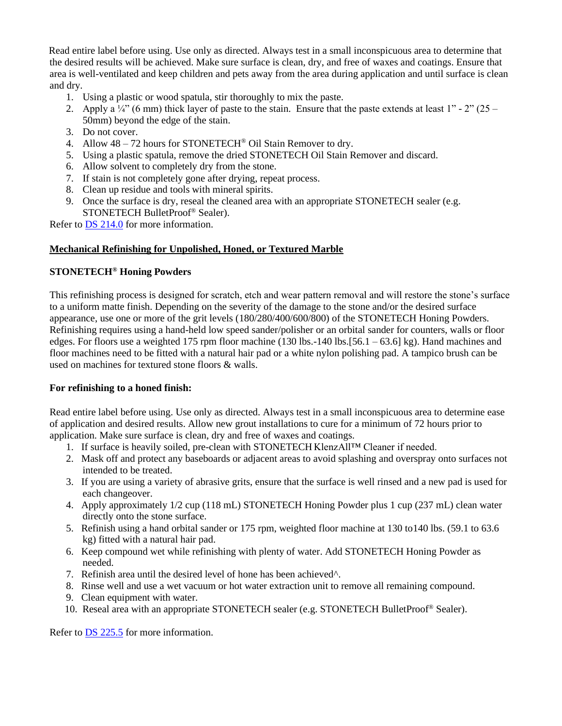Read entire label before using. Use only as directed. Always test in a small inconspicuous area to determine that the desired results will be achieved. Make sure surface is clean, dry, and free of waxes and coatings. Ensure that area is well-ventilated and keep children and pets away from the area during application and until surface is clean and dry.

- 1. Using a plastic or wood spatula, stir thoroughly to mix the paste.
- 2. Apply a  $\frac{1}{4}$  (6 mm) thick layer of paste to the stain. Ensure that the paste extends at least 1" 2" (25 50mm) beyond the edge of the stain.
- 3. Do not cover.
- 4. Allow 48 72 hours for STONETECH® Oil Stain Remover to dry.
- 5. Using a plastic spatula, remove the dried STONETECH Oil Stain Remover and discard.
- 6. Allow solvent to completely dry from the stone.
- 7. If stain is not completely gone after drying, repeat process.
- 8. Clean up residue and tools with mineral spirits.
- 9. Once the surface is dry, reseal the cleaned area with an appropriate STONETECH sealer (e.g. STONETECH BulletProof® Sealer).

Refer to [DS 214.0](https://cdn.laticrete.com/~/media/product-documents/product-data-sheets/ds-214.ashx) for more information.

#### **Mechanical Refinishing for Unpolished, Honed, or Textured Marble**

### **STONETECH® Honing Powders**

This refinishing process is designed for scratch, etch and wear pattern removal and will restore the stone's surface to a uniform matte finish. Depending on the severity of the damage to the stone and/or the desired surface appearance, use one or more of the grit levels (180/280/400/600/800) of the STONETECH Honing Powders. Refinishing requires using a hand-held low speed sander/polisher or an orbital sander for counters, walls or floor edges. For floors use a weighted 175 rpm floor machine (130 lbs.-140 lbs.[56.1 – 63.6] kg). Hand machines and floor machines need to be fitted with a natural hair pad or a white nylon polishing pad. A tampico brush can be used on machines for textured stone floors & walls.

#### **For refinishing to a honed finish:**

Read entire label before using. Use only as directed. Always test in a small inconspicuous area to determine ease of application and desired results. Allow new grout installations to cure for a minimum of 72 hours prior to application. Make sure surface is clean, dry and free of waxes and coatings.

- 1. If surface is heavily soiled, pre-clean with STONETECH KlenzAll™ Cleaner if needed.
- 2. Mask off and protect any baseboards or adjacent areas to avoid splashing and overspray onto surfaces not intended to be treated.
- 3. If you are using a variety of abrasive grits, ensure that the surface is well rinsed and a new pad is used for each changeover.
- 4. Apply approximately 1/2 cup (118 mL) STONETECH Honing Powder plus 1 cup (237 mL) clean water directly onto the stone surface.
- 5. Refinish using a hand orbital sander or 175 rpm, weighted floor machine at 130 to140 lbs. (59.1 to 63.6 kg) fitted with a natural hair pad.
- 6. Keep compound wet while refinishing with plenty of water. Add STONETECH Honing Powder as needed.
- 7. Refinish area until the desired level of hone has been achieved^.
- 8. Rinse well and use a wet vacuum or hot water extraction unit to remove all remaining compound.
- 9. Clean equipment with water.
- 10. Reseal area with an appropriate STONETECH sealer (e.g. STONETECH BulletProof<sup>®</sup> Sealer).

Refer to [DS 225.5](https://cdn.laticrete.com/~/media/product-documents/product-data-sheets/ds-2255.ashx) for more information.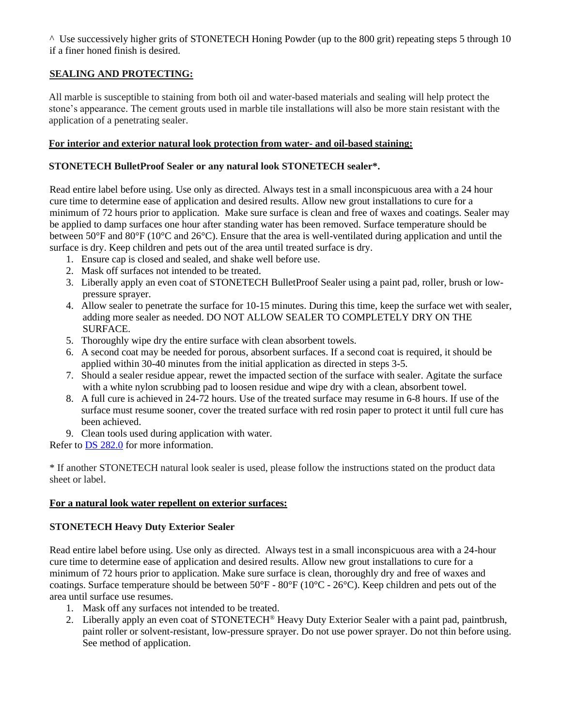^ Use successively higher grits of STONETECH Honing Powder (up to the 800 grit) repeating steps 5 through 10 if a finer honed finish is desired.

# **SEALING AND PROTECTING:**

All marble is susceptible to staining from both oil and water-based materials and sealing will help protect the stone's appearance. The cement grouts used in marble tile installations will also be more stain resistant with the application of a penetrating sealer.

#### **For interior and exterior natural look protection from water- and oil-based staining:**

#### **STONETECH BulletProof Sealer or any natural look STONETECH sealer\*.**

Read entire label before using. Use only as directed. Always test in a small inconspicuous area with a 24 hour cure time to determine ease of application and desired results. Allow new grout installations to cure for a minimum of 72 hours prior to application. Make sure surface is clean and free of waxes and coatings. Sealer may be applied to damp surfaces one hour after standing water has been removed. Surface temperature should be between 50°F and 80°F (10°C and 26°C). Ensure that the area is well-ventilated during application and until the surface is dry. Keep children and pets out of the area until treated surface is dry.

- 1. Ensure cap is closed and sealed, and shake well before use.
- 2. Mask off surfaces not intended to be treated.
- 3. Liberally apply an even coat of STONETECH BulletProof Sealer using a paint pad, roller, brush or lowpressure sprayer.
- 4. Allow sealer to penetrate the surface for 10-15 minutes. During this time, keep the surface wet with sealer, adding more sealer as needed. DO NOT ALLOW SEALER TO COMPLETELY DRY ON THE SURFACE.
- 5. Thoroughly wipe dry the entire surface with clean absorbent towels.
- 6. A second coat may be needed for porous, absorbent surfaces. If a second coat is required, it should be applied within 30-40 minutes from the initial application as directed in steps 3-5.
- 7. Should a sealer residue appear, rewet the impacted section of the surface with sealer. Agitate the surface with a white nylon scrubbing pad to loosen residue and wipe dry with a clean, absorbent towel.
- 8. A full cure is achieved in 24-72 hours. Use of the treated surface may resume in 6-8 hours. If use of the surface must resume sooner, cover the treated surface with red rosin paper to protect it until full cure has been achieved.
- 9. Clean tools used during application with water.

Refer to DS [282.0](https://cdn.laticrete.com/~/media/product-documents/product-data-sheets/ds-282.ashx) for more information.

\* If another STONETECH natural look sealer is used, please follow the instructions stated on the product data sheet or label.

#### **For a natural look water repellent on exterior surfaces:**

## **STONETECH Heavy Duty Exterior Sealer**

Read entire label before using. Use only as directed. Always test in a small inconspicuous area with a 24-hour cure time to determine ease of application and desired results. Allow new grout installations to cure for a minimum of 72 hours prior to application. Make sure surface is clean, thoroughly dry and free of waxes and coatings. Surface temperature should be between 50°F - 80°F (10°C - 26°C). Keep children and pets out of the area until surface use resumes.

- 1. Mask off any surfaces not intended to be treated.
- 2. Liberally apply an even coat of STONETECH® Heavy Duty Exterior Sealer with a paint pad, paintbrush, paint roller or solvent-resistant, low-pressure sprayer. Do not use power sprayer. Do not thin before using. See method of application.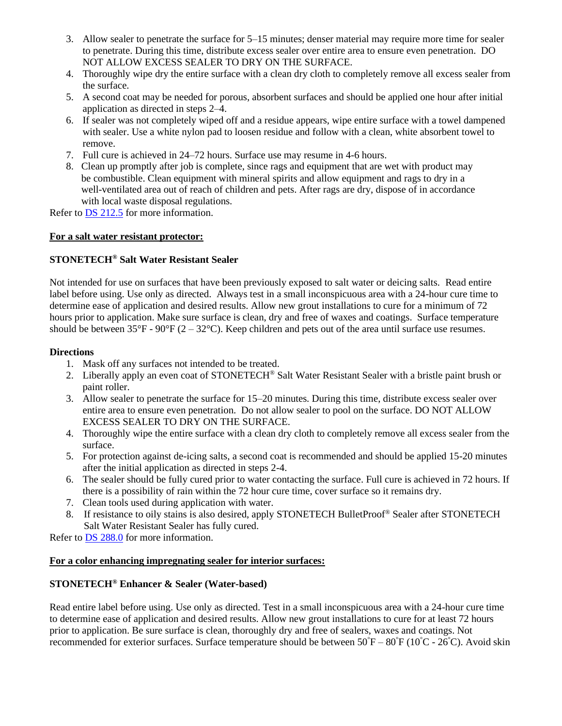- 3. Allow sealer to penetrate the surface for 5–15 minutes; denser material may require more time for sealer to penetrate. During this time, distribute excess sealer over entire area to ensure even penetration. DO NOT ALLOW EXCESS SEALER TO DRY ON THE SURFACE.
- 4. Thoroughly wipe dry the entire surface with a clean dry cloth to completely remove all excess sealer from the surface.
- 5. A second coat may be needed for porous, absorbent surfaces and should be applied one hour after initial application as directed in steps 2–4.
- 6. If sealer was not completely wiped off and a residue appears, wipe entire surface with a towel dampened with sealer. Use a white nylon pad to loosen residue and follow with a clean, white absorbent towel to remove.
- 7. Full cure is achieved in 24–72 hours. Surface use may resume in 4-6 hours.
- 8. Clean up promptly after job is complete, since rags and equipment that are wet with product may be combustible. Clean equipment with mineral spirits and allow equipment and rags to dry in a well-ventilated area out of reach of children and pets. After rags are dry, dispose of in accordance with local waste disposal regulations.

Refer to **DS** [212.5](https://cdn.laticrete.com/~/media/product-documents/product-data-sheets/ds-2125.ashx) for more information.

#### **For a salt water resistant protector:**

### **STONETECH® Salt Water Resistant Sealer**

Not intended for use on surfaces that have been previously exposed to salt water or deicing salts. Read entire label before using. Use only as directed. Always test in a small inconspicuous area with a 24-hour cure time to determine ease of application and desired results. Allow new grout installations to cure for a minimum of 72 hours prior to application. Make sure surface is clean, dry and free of waxes and coatings. Surface temperature should be between  $35^{\circ}F - 90^{\circ}F (2 - 32^{\circ}C)$ . Keep children and pets out of the area until surface use resumes.

#### **Directions**

- 1. Mask off any surfaces not intended to be treated.
- 2. Liberally apply an even coat of STONETECH® Salt Water Resistant Sealer with a bristle paint brush or paint roller.
- 3. Allow sealer to penetrate the surface for 15–20 minutes. During this time, distribute excess sealer over entire area to ensure even penetration. Do not allow sealer to pool on the surface. DO NOT ALLOW EXCESS SEALER TO DRY ON THE SURFACE.
- 4. Thoroughly wipe the entire surface with a clean dry cloth to completely remove all excess sealer from the surface.
- 5. For protection against de-icing salts, a second coat is recommended and should be applied 15-20 minutes after the initial application as directed in steps 2-4.
- 6. The sealer should be fully cured prior to water contacting the surface. Full cure is achieved in 72 hours. If there is a possibility of rain within the 72 hour cure time, cover surface so it remains dry.
- 7. Clean tools used during application with water.
- 8. If resistance to oily stains is also desired, apply STONETECH BulletProof<sup>®</sup> Sealer after STONETECH Salt Water Resistant Sealer has fully cured.

Refer to **DS [288.0](https://cdn.laticrete.com/~/media/product-documents/product-data-sheets/ds-288.ashx)** for more information.

#### **For a color enhancing impregnating sealer for interior surfaces:**

#### **STONETECH® Enhancer & Sealer (Water-based)**

Read entire label before using. Use only as directed. Test in a small inconspicuous area with a 24-hour cure time to determine ease of application and desired results. Allow new grout installations to cure for at least 72 hours prior to application. Be sure surface is clean, thoroughly dry and free of sealers, waxes and coatings. Not recommended for exterior surfaces. Surface temperature should be between  $50^{\circ}F - 80^{\circ}F (10^{\circ}C - 26^{\circ}C)$ . Avoid skin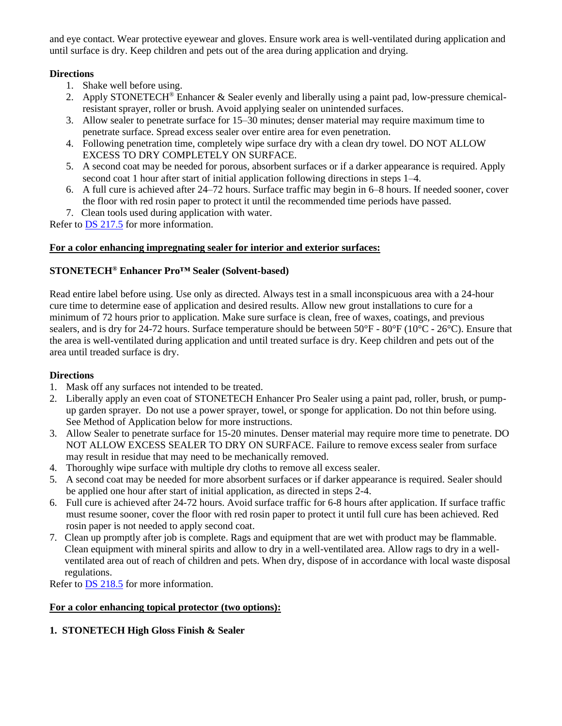and eye contact. Wear protective eyewear and gloves. Ensure work area is well-ventilated during application and until surface is dry. Keep children and pets out of the area during application and drying.

## **Directions**

- 1. Shake well before using.
- 2. Apply STONETECH® Enhancer & Sealer evenly and liberally using a paint pad, low-pressure chemicalresistant sprayer, roller or brush. Avoid applying sealer on unintended surfaces.
- 3. Allow sealer to penetrate surface for 15–30 minutes; denser material may require maximum time to penetrate surface. Spread excess sealer over entire area for even penetration.
- 4. Following penetration time, completely wipe surface dry with a clean dry towel. DO NOT ALLOW EXCESS TO DRY COMPLETELY ON SURFACE.
- 5. A second coat may be needed for porous, absorbent surfaces or if a darker appearance is required. Apply second coat 1 hour after start of initial application following directions in steps 1–4.
- 6. A full cure is achieved after 24–72 hours. Surface traffic may begin in 6–8 hours. If needed sooner, cover the floor with red rosin paper to protect it until the recommended time periods have passed.
- 7. Clean tools used during application with water.

Refer to [DS 217.5](https://cdn.laticrete.com/~/media/product-documents/product-data-sheets/ds-2175.ashx) for more information.

## **For a color enhancing impregnating sealer for interior and exterior surfaces:**

## **STONETECH® Enhancer Pro™ Sealer (Solvent-based)**

Read entire label before using. Use only as directed. Always test in a small inconspicuous area with a 24-hour cure time to determine ease of application and desired results. Allow new grout installations to cure for a minimum of 72 hours prior to application. Make sure surface is clean, free of waxes, coatings, and previous sealers, and is dry for 24-72 hours. Surface temperature should be between  $50^{\circ}F - 80^{\circ}F + (10^{\circ}C - 26^{\circ}C)$ . Ensure that the area is well-ventilated during application and until treated surface is dry. Keep children and pets out of the area until treaded surface is dry.

## **Directions**

- 1. Mask off any surfaces not intended to be treated.
- 2. Liberally apply an even coat of STONETECH Enhancer Pro Sealer using a paint pad, roller, brush, or pumpup garden sprayer. Do not use a power sprayer, towel, or sponge for application. Do not thin before using. See Method of Application below for more instructions.
- 3. Allow Sealer to penetrate surface for 15-20 minutes. Denser material may require more time to penetrate. DO NOT ALLOW EXCESS SEALER TO DRY ON SURFACE. Failure to remove excess sealer from surface may result in residue that may need to be mechanically removed.
- 4. Thoroughly wipe surface with multiple dry cloths to remove all excess sealer.
- 5. A second coat may be needed for more absorbent surfaces or if darker appearance is required. Sealer should be applied one hour after start of initial application, as directed in steps 2-4.
- 6. Full cure is achieved after 24-72 hours. Avoid surface traffic for 6-8 hours after application. If surface traffic must resume sooner, cover the floor with red rosin paper to protect it until full cure has been achieved. Red rosin paper is not needed to apply second coat.
- 7. Clean up promptly after job is complete. Rags and equipment that are wet with product may be flammable. Clean equipment with mineral spirits and allow to dry in a well-ventilated area. Allow rags to dry in a well ventilated area out of reach of children and pets. When dry, dispose of in accordance with local waste disposal regulations.

Refer to DS [218.5](https://cdn.laticrete.com/~/media/product-documents/product-data-sheets/ds-2185.ashx) for more information.

# **For a color enhancing topical protector (two options):**

# **1. STONETECH High Gloss Finish & Sealer**